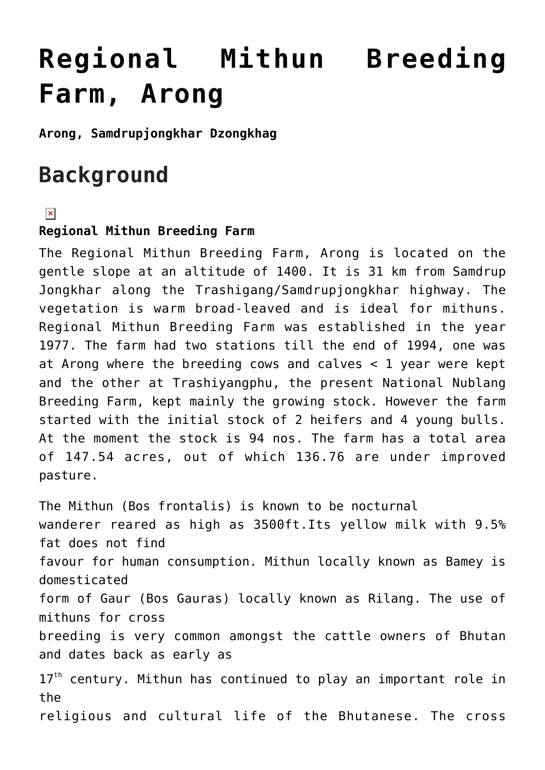# **[Regional Mithun Breeding](https://www.dol.gov.bt/regional-mithun-breeding-farm-arong/) [Farm, Arong](https://www.dol.gov.bt/regional-mithun-breeding-farm-arong/)**

**Arong, Samdrupjongkhar Dzongkhag**

# **Background**

### $\pmb{\times}$

### **Regional Mithun Breeding Farm**

The Regional Mithun Breeding Farm, Arong is located on the gentle slope at an altitude of 1400. It is 31 km from Samdrup Jongkhar along the Trashigang/Samdrupjongkhar highway. The vegetation is warm broad-leaved and is ideal for mithuns. Regional Mithun Breeding Farm was established in the year 1977. The farm had two stations till the end of 1994, one was at Arong where the breeding cows and calves < 1 year were kept and the other at Trashiyangphu, the present National Nublang Breeding Farm, kept mainly the growing stock. However the farm started with the initial stock of 2 heifers and 4 young bulls. At the moment the stock is 94 nos. The farm has a total area of 147.54 acres, out of which 136.76 are under improved pasture.

The Mithun (Bos frontalis) is known to be nocturnal wanderer reared as high as 3500ft.Its yellow milk with 9.5% fat does not find favour for human consumption. Mithun locally known as Bamey is domesticated form of Gaur (Bos Gauras) locally known as Rilang. The use of mithuns for cross breeding is very common amongst the cattle owners of Bhutan and dates back as early as  $17<sup>th</sup>$  century. Mithun has continued to play an important role in the religious and cultural life of the Bhutanese. The cross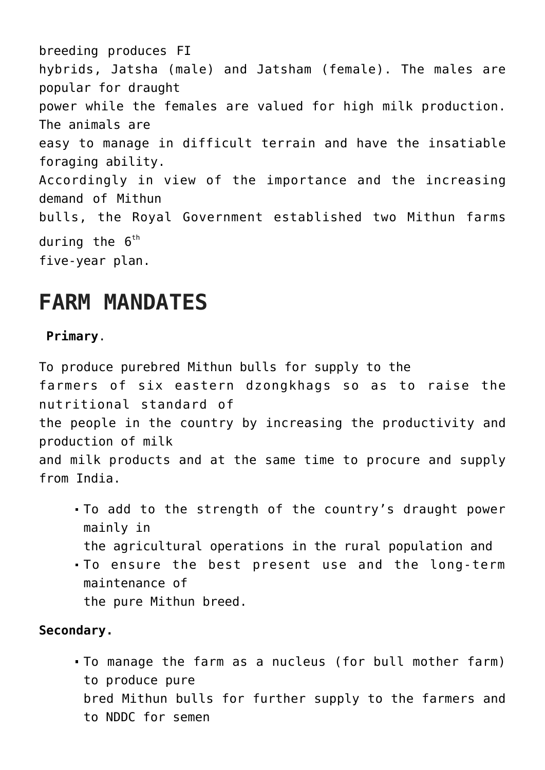breeding produces FI hybrids, Jatsha (male) and Jatsham (female). The males are popular for draught power while the females are valued for high milk production. The animals are easy to manage in difficult terrain and have the insatiable foraging ability. Accordingly in view of the importance and the increasing demand of Mithun bulls, the Royal Government established two Mithun farms during the  $6<sup>th</sup>$ five-year plan.

### **FARM MANDATES**

### **Primary**.

To produce purebred Mithun bulls for supply to the farmers of six eastern dzongkhags so as to raise the nutritional standard of the people in the country by increasing the productivity and production of milk and milk products and at the same time to procure and supply from India.

- To add to the strength of the country's draught power mainly in
	- the agricultural operations in the rural population and
- To ensure the best present use and the long-term maintenance of

the pure Mithun breed.

### **Secondary.**

To manage the farm as a nucleus (for bull mother farm) to produce pure bred Mithun bulls for further supply to the farmers and to NDDC for semen